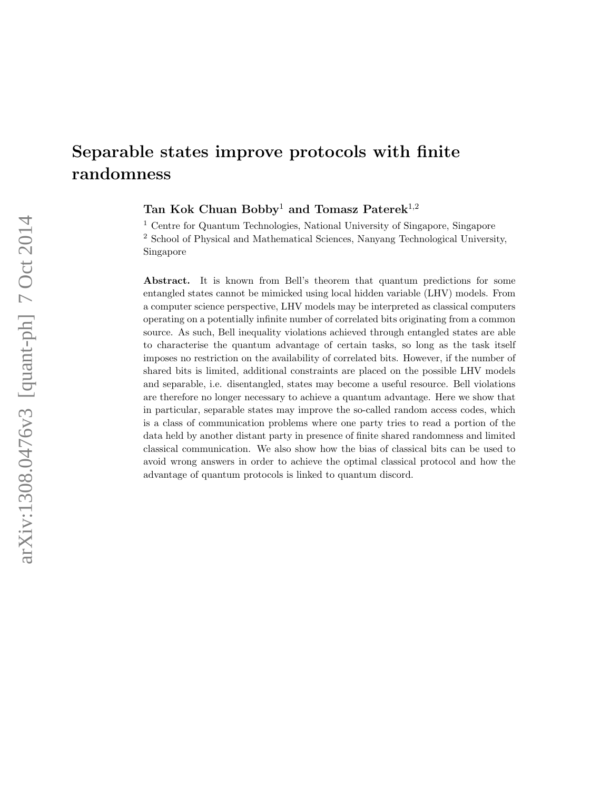# Separable states improve protocols with finite randomness

Tan Kok Chuan Bobby<sup>1</sup> and Tomasz Paterek<sup>1,2</sup>

<sup>1</sup> Centre for Quantum Technologies, National University of Singapore, Singapore <sup>2</sup> School of Physical and Mathematical Sciences, Nanyang Technological University, Singapore

Abstract. It is known from Bell's theorem that quantum predictions for some entangled states cannot be mimicked using local hidden variable (LHV) models. From a computer science perspective, LHV models may be interpreted as classical computers operating on a potentially infinite number of correlated bits originating from a common source. As such, Bell inequality violations achieved through entangled states are able to characterise the quantum advantage of certain tasks, so long as the task itself imposes no restriction on the availability of correlated bits. However, if the number of shared bits is limited, additional constraints are placed on the possible LHV models and separable, i.e. disentangled, states may become a useful resource. Bell violations are therefore no longer necessary to achieve a quantum advantage. Here we show that in particular, separable states may improve the so-called random access codes, which is a class of communication problems where one party tries to read a portion of the data held by another distant party in presence of finite shared randomness and limited classical communication. We also show how the bias of classical bits can be used to avoid wrong answers in order to achieve the optimal classical protocol and how the advantage of quantum protocols is linked to quantum discord.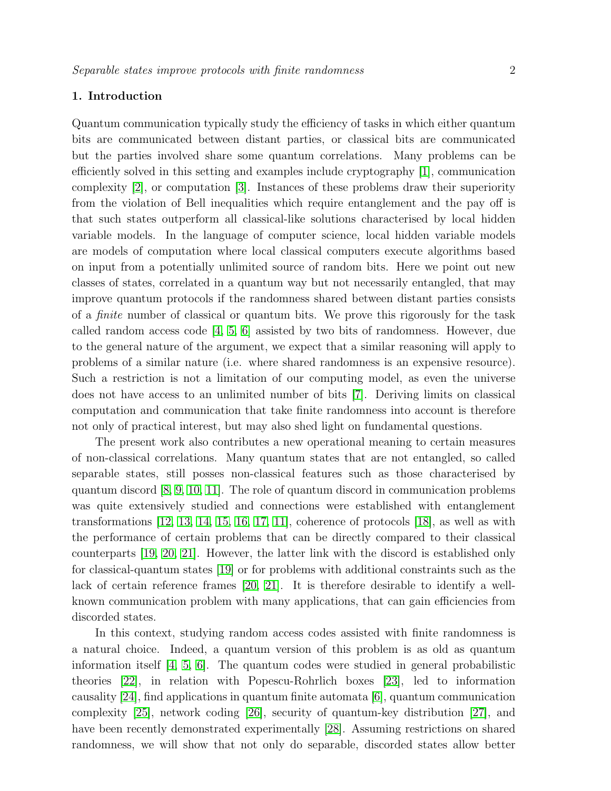# 1. Introduction

Quantum communication typically study the efficiency of tasks in which either quantum bits are communicated between distant parties, or classical bits are communicated but the parties involved share some quantum correlations. Many problems can be efficiently solved in this setting and examples include cryptography [\[1\]](#page-10-0), communication complexity [\[2\]](#page-10-1), or computation [\[3\]](#page-10-2). Instances of these problems draw their superiority from the violation of Bell inequalities which require entanglement and the pay off is that such states outperform all classical-like solutions characterised by local hidden variable models. In the language of computer science, local hidden variable models are models of computation where local classical computers execute algorithms based on input from a potentially unlimited source of random bits. Here we point out new classes of states, correlated in a quantum way but not necessarily entangled, that may improve quantum protocols if the randomness shared between distant parties consists of a finite number of classical or quantum bits. We prove this rigorously for the task called random access code  $[4, 5, 6]$  $[4, 5, 6]$  $[4, 5, 6]$  assisted by two bits of randomness. However, due to the general nature of the argument, we expect that a similar reasoning will apply to problems of a similar nature (i.e. where shared randomness is an expensive resource). Such a restriction is not a limitation of our computing model, as even the universe does not have access to an unlimited number of bits [\[7\]](#page-10-6). Deriving limits on classical computation and communication that take finite randomness into account is therefore not only of practical interest, but may also shed light on fundamental questions.

The present work also contributes a new operational meaning to certain measures of non-classical correlations. Many quantum states that are not entangled, so called separable states, still posses non-classical features such as those characterised by quantum discord [\[8,](#page-10-7) [9,](#page-10-8) [10,](#page-10-9) [11\]](#page-10-10). The role of quantum discord in communication problems was quite extensively studied and connections were established with entanglement transformations  $[12, 13, 14, 15, 16, 17, 11]$  $[12, 13, 14, 15, 16, 17, 11]$  $[12, 13, 14, 15, 16, 17, 11]$  $[12, 13, 14, 15, 16, 17, 11]$  $[12, 13, 14, 15, 16, 17, 11]$  $[12, 13, 14, 15, 16, 17, 11]$  $[12, 13, 14, 15, 16, 17, 11]$ , coherence of protocols  $[18]$ , as well as with the performance of certain problems that can be directly compared to their classical counterparts [\[19,](#page-11-0) [20,](#page-11-1) [21\]](#page-11-2). However, the latter link with the discord is established only for classical-quantum states [\[19\]](#page-11-0) or for problems with additional constraints such as the lack of certain reference frames [\[20,](#page-11-1) [21\]](#page-11-2). It is therefore desirable to identify a wellknown communication problem with many applications, that can gain efficiencies from discorded states.

In this context, studying random access codes assisted with finite randomness is a natural choice. Indeed, a quantum version of this problem is as old as quantum information itself [\[4,](#page-10-3) [5,](#page-10-4) [6\]](#page-10-5). The quantum codes were studied in general probabilistic theories [\[22\]](#page-11-3), in relation with Popescu-Rohrlich boxes [\[23\]](#page-11-4), led to information causality [\[24\]](#page-11-5), find applications in quantum finite automata [\[6\]](#page-10-5), quantum communication complexity [\[25\]](#page-11-6), network coding [\[26\]](#page-11-7), security of quantum-key distribution [\[27\]](#page-11-8), and have been recently demonstrated experimentally [\[28\]](#page-11-9). Assuming restrictions on shared randomness, we will show that not only do separable, discorded states allow better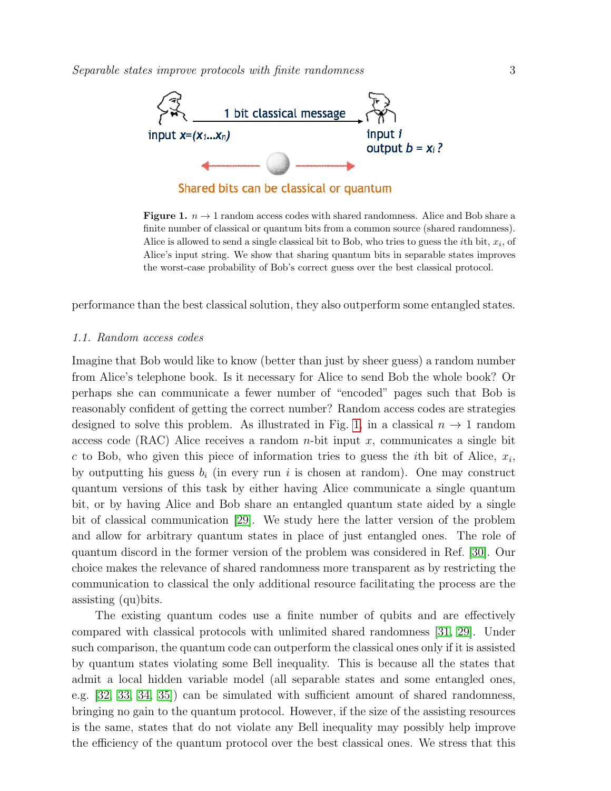

<span id="page-2-0"></span>**Figure 1.**  $n \to 1$  random access codes with shared randomness. Alice and Bob share a finite number of classical or quantum bits from a common source (shared randomness). Alice is allowed to send a single classical bit to Bob, who tries to guess the *i*<sup>th</sup> bit,  $x_i$ , of Alice's input string. We show that sharing quantum bits in separable states improves the worst-case probability of Bob's correct guess over the best classical protocol.

performance than the best classical solution, they also outperform some entangled states.

#### 1.1. Random access codes

Imagine that Bob would like to know (better than just by sheer guess) a random number from Alice's telephone book. Is it necessary for Alice to send Bob the whole book? Or perhaps she can communicate a fewer number of "encoded" pages such that Bob is reasonably confident of getting the correct number? Random access codes are strategies designed to solve this problem. As illustrated in Fig. [1,](#page-2-0) in a classical  $n \to 1$  random access code (RAC) Alice receives a random *n*-bit input x, communicates a single bit c to Bob, who given this piece of information tries to guess the *i*th bit of Alice,  $x_i$ , by outputting his guess  $b_i$  (in every run i is chosen at random). One may construct quantum versions of this task by either having Alice communicate a single quantum bit, or by having Alice and Bob share an entangled quantum state aided by a single bit of classical communication [\[29\]](#page-11-10). We study here the latter version of the problem and allow for arbitrary quantum states in place of just entangled ones. The role of quantum discord in the former version of the problem was considered in Ref. [\[30\]](#page-11-11). Our choice makes the relevance of shared randomness more transparent as by restricting the communication to classical the only additional resource facilitating the process are the assisting (qu)bits.

The existing quantum codes use a finite number of qubits and are effectively compared with classical protocols with unlimited shared randomness [\[31,](#page-11-12) [29\]](#page-11-10). Under such comparison, the quantum code can outperform the classical ones only if it is assisted by quantum states violating some Bell inequality. This is because all the states that admit a local hidden variable model (all separable states and some entangled ones, e.g. [\[32,](#page-11-13) [33,](#page-11-14) [34,](#page-11-15) [35\]](#page-11-16)) can be simulated with sufficient amount of shared randomness, bringing no gain to the quantum protocol. However, if the size of the assisting resources is the same, states that do not violate any Bell inequality may possibly help improve the efficiency of the quantum protocol over the best classical ones. We stress that this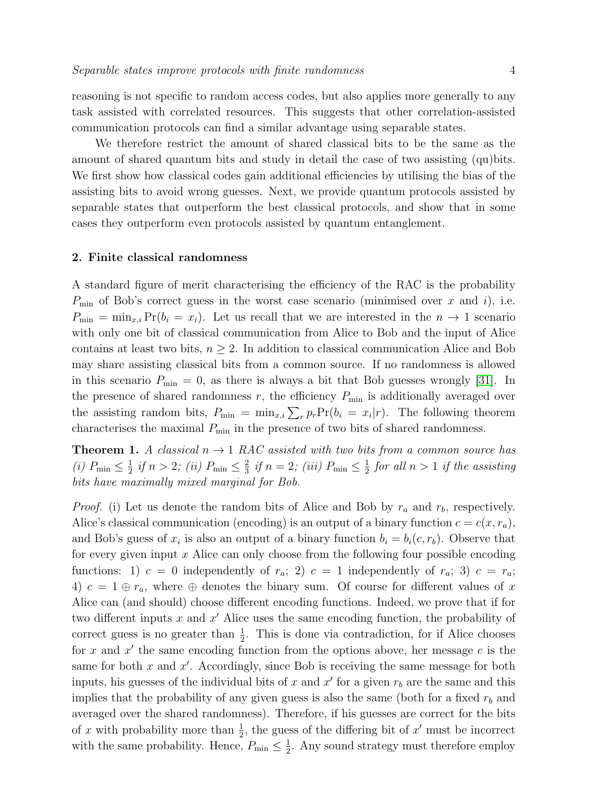reasoning is not specific to random access codes, but also applies more generally to any task assisted with correlated resources. This suggests that other correlation-assisted communication protocols can find a similar advantage using separable states.

We therefore restrict the amount of shared classical bits to be the same as the amount of shared quantum bits and study in detail the case of two assisting (qu)bits. We first show how classical codes gain additional efficiencies by utilising the bias of the assisting bits to avoid wrong guesses. Next, we provide quantum protocols assisted by separable states that outperform the best classical protocols, and show that in some cases they outperform even protocols assisted by quantum entanglement.

#### 2. Finite classical randomness

A standard figure of merit characterising the efficiency of the RAC is the probability  $P_{\text{min}}$  of Bob's correct guess in the worst case scenario (minimised over x and i), i.e.  $P_{\min} = \min_{x,i} Pr(b_i = x_i)$ . Let us recall that we are interested in the  $n \to 1$  scenario with only one bit of classical communication from Alice to Bob and the input of Alice contains at least two bits,  $n \geq 2$ . In addition to classical communication Alice and Bob may share assisting classical bits from a common source. If no randomness is allowed in this scenario  $P_{\min} = 0$ , as there is always a bit that Bob guesses wrongly [\[31\]](#page-11-12). In the presence of shared randomness  $r$ , the efficiency  $P_{\min}$  is additionally averaged over the assisting random bits,  $P_{\min} = \min_{x,i} \sum_{r} p_r \Pr(b_i = x_i | r)$ . The following theorem characterises the maximal  $P_{\text{min}}$  in the presence of two bits of shared randomness.

<span id="page-3-0"></span>**Theorem 1.** A classical  $n \rightarrow 1$  RAC assisted with two bits from a common source has (*i*)  $P_{\min} \leq \frac{1}{2}$  $\frac{1}{2}$  if  $n > 2$ ; (ii)  $P_{\min} \leq \frac{2}{3}$  $\frac{2}{3}$  if  $n = 2$ ; (iii)  $P_{\min} \leq \frac{1}{2}$  $\frac{1}{2}$  for all  $n > 1$  if the assisting bits have maximally mixed marginal for Bob.

*Proof.* (i) Let us denote the random bits of Alice and Bob by  $r_a$  and  $r_b$ , respectively. Alice's classical communication (encoding) is an output of a binary function  $c = c(x, r_a)$ , and Bob's guess of  $x_i$  is also an output of a binary function  $b_i = b_i(c, r_b)$ . Observe that for every given input  $x$  Alice can only choose from the following four possible encoding functions: 1)  $c = 0$  independently of  $r_a$ ; 2)  $c = 1$  independently of  $r_a$ ; 3)  $c = r_a$ ; 4)  $c = 1 \oplus r_a$ , where  $\oplus$  denotes the binary sum. Of course for different values of x Alice can (and should) choose different encoding functions. Indeed, we prove that if for two different inputs  $x$  and  $x'$  Alice uses the same encoding function, the probability of correct guess is no greater than  $\frac{1}{2}$ . This is done via contradiction, for if Alice chooses for x and  $x'$  the same encoding function from the options above, her message  $c$  is the same for both  $x$  and  $x'$ . Accordingly, since Bob is receiving the same message for both inputs, his guesses of the individual bits of x and  $x'$  for a given  $r_b$  are the same and this implies that the probability of any given guess is also the same (both for a fixed  $r_b$  and averaged over the shared randomness). Therefore, if his guesses are correct for the bits of x with probability more than  $\frac{1}{2}$ , the guess of the differing bit of x' must be incorrect with the same probability. Hence,  $P_{\min} \leq \frac{1}{2}$  $\frac{1}{2}$ . Any sound strategy must therefore employ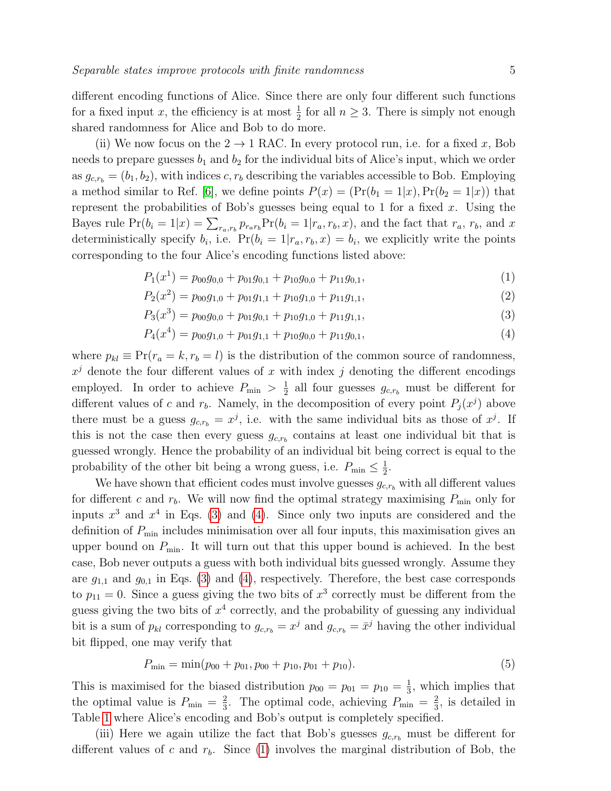different encoding functions of Alice. Since there are only four different such functions for a fixed input x, the efficiency is at most  $\frac{1}{2}$  for all  $n \geq 3$ . There is simply not enough shared randomness for Alice and Bob to do more.

(ii) We now focus on the  $2 \rightarrow 1$  RAC. In every protocol run, i.e. for a fixed x, Bob needs to prepare guesses  $b_1$  and  $b_2$  for the individual bits of Alice's input, which we order as  $g_{c,r_b} = (b_1, b_2)$ , with indices c,  $r_b$  describing the variables accessible to Bob. Employing a method similar to Ref. [\[6\]](#page-10-5), we define points  $P(x) = (Pr(b_1 = 1|x), Pr(b_2 = 1|x))$  that represent the probabilities of Bob's guesses being equal to 1 for a fixed  $x$ . Using the Bayes rule  $Pr(b_i = 1|x) = \sum_{r_a, r_b} p_{r_a r_b} Pr(b_i = 1|r_a, r_b, x)$ , and the fact that  $r_a, r_b$ , and x deterministically specify  $b_i$ , i.e.  $Pr(b_i = 1 | r_a, r_b, x) = b_i$ , we explicitly write the points corresponding to the four Alice's encoding functions listed above:

$$
P_1(x^1) = p_{00}g_{0,0} + p_{01}g_{0,1} + p_{10}g_{0,0} + p_{11}g_{0,1},
$$
\n(1)

<span id="page-4-0"></span>
$$
P_2(x^2) = p_{00}g_{1,0} + p_{01}g_{1,1} + p_{10}g_{1,0} + p_{11}g_{1,1},
$$
\n(2)

$$
P_3(x^3) = p_{00}g_{0,0} + p_{01}g_{0,1} + p_{10}g_{1,0} + p_{11}g_{1,1},
$$
\n(3)

$$
P_4(x^4) = p_{00}g_{1,0} + p_{01}g_{1,1} + p_{10}g_{0,0} + p_{11}g_{0,1},
$$
\n(4)

where  $p_{kl} \equiv \Pr(r_a = k, r_b = l)$  is the distribution of the common source of randomness,  $x^j$  denote the four different values of x with index j denoting the different encodings employed. In order to achieve  $P_{\min} > \frac{1}{2}$  $\frac{1}{2}$  all four guesses  $g_{c,r_b}$  must be different for different values of c and  $r_b$ . Namely, in the decomposition of every point  $P_j(x^j)$  above there must be a guess  $g_{c,r_b} = x^j$ , i.e. with the same individual bits as those of  $x^j$ . If this is not the case then every guess  $g_{c,r_b}$  contains at least one individual bit that is guessed wrongly. Hence the probability of an individual bit being correct is equal to the probability of the other bit being a wrong guess, i.e.  $P_{\min} \leq \frac{1}{2}$  $\frac{1}{2}$ .

We have shown that efficient codes must involve guesses  $g_{c,r_b}$  with all different values for different c and  $r_b$ . We will now find the optimal strategy maximising  $P_{\min}$  only for inputs  $x^3$  and  $x^4$  in Eqs. [\(3\)](#page-4-0) and [\(4\)](#page-4-0). Since only two inputs are considered and the definition of  $P_{\min}$  includes minimisation over all four inputs, this maximisation gives an upper bound on  $P_{\min}$ . It will turn out that this upper bound is achieved. In the best case, Bob never outputs a guess with both individual bits guessed wrongly. Assume they are  $g_{1,1}$  and  $g_{0,1}$  in Eqs. [\(3\)](#page-4-0) and [\(4\)](#page-4-0), respectively. Therefore, the best case corresponds to  $p_{11} = 0$ . Since a guess giving the two bits of  $x^3$  correctly must be different from the guess giving the two bits of  $x^4$  correctly, and the probability of guessing any individual bit is a sum of  $p_{kl}$  corresponding to  $g_{c,r_b} = x^j$  and  $g_{c,r_b} = \bar{x}^j$  having the other individual bit flipped, one may verify that

$$
P_{\min} = \min(p_{00} + p_{01}, p_{00} + p_{10}, p_{01} + p_{10}).
$$
\n(5)

This is maximised for the biased distribution  $p_{00} = p_{01} = p_{10} = \frac{1}{3}$  $\frac{1}{3}$ , which implies that the optimal value is  $P_{\min} = \frac{2}{3}$  $\frac{2}{3}$ . The optimal code, achieving  $P_{\min} = \frac{2}{3}$  $\frac{2}{3}$ , is detailed in Table [1](#page-5-0) where Alice's encoding and Bob's output is completely specified.

(iii) Here we again utilize the fact that Bob's guesses  $g_{c,r_b}$  must be different for different values of c and  $r_b$ . Since [\(1\)](#page-4-0) involves the marginal distribution of Bob, the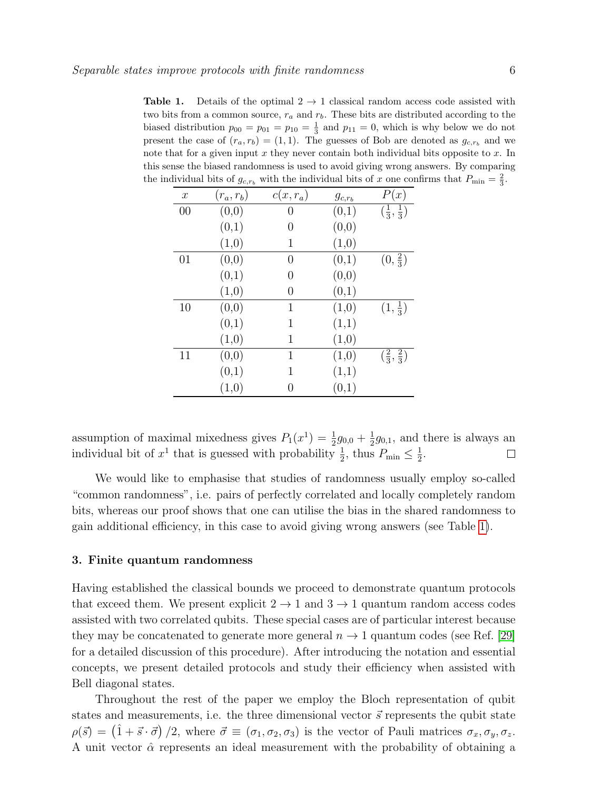<span id="page-5-0"></span>**Table 1.** Details of the optimal  $2 \rightarrow 1$  classical random access code assisted with two bits from a common source,  $r_a$  and  $r_b$ . These bits are distributed according to the biased distribution  $p_{00} = p_{01} = p_{10} = \frac{1}{3}$  and  $p_{11} = 0$ , which is why below we do not present the case of  $(r_a, r_b) = (1, 1)$ . The guesses of Bob are denoted as  $g_{c,r_b}$  and we note that for a given input  $x$  they never contain both individual bits opposite to  $x$ . In this sense the biased randomness is used to avoid giving wrong answers. By comparing the individual bits of  $g_{c,r_b}$  with the individual bits of x one confirms that  $P_{\min} = \frac{2}{3}$ .

| $\boldsymbol{x}$ | $(r_a,r_b)$ | $c(x,r_a)$   | $g_{c,r_b}$ | P(x)                         |
|------------------|-------------|--------------|-------------|------------------------------|
| 00               | (0,0)       | 0            | (0,1)       | $(\frac{1}{3}, \frac{1}{3})$ |
|                  | (0,1)       | 0            | (0,0)       |                              |
|                  | (1,0)       | 1            | (1,0)       |                              |
| 01               | (0,0)       | 0            | (0,1)       | $(0, \frac{2}{3})$           |
|                  | (0,1)       | 0            | (0,0)       |                              |
|                  | (1,0)       | 0            | (0,1)       |                              |
| 10               | (0,0)       | $\mathbf{1}$ | (1,0)       | $(1,\frac{1}{3})$            |
|                  | (0,1)       | 1            | (1,1)       |                              |
|                  | (1,0)       | 1            | (1,0)       |                              |
| 11               | (0,0)       | $\mathbf{1}$ | (1,0)       | $(\frac{2}{3}, \frac{2}{3})$ |
|                  | (0,1)       | 1            | (1,1)       |                              |
|                  | (1,0)       | 0            | (0,1)       |                              |

assumption of maximal mixedness gives  $P_1(x^1) = \frac{1}{2}g_{0,0} + \frac{1}{2}$  $\frac{1}{2}g_{0,1}$ , and there is always an individual bit of  $x^1$  that is guessed with probability  $\frac{1}{2}$ , thus  $P_{\min} \leq \frac{1}{2}$  $\frac{1}{2}$ .  $\Box$ 

We would like to emphasise that studies of randomness usually employ so-called "common randomness", i.e. pairs of perfectly correlated and locally completely random bits, whereas our proof shows that one can utilise the bias in the shared randomness to gain additional efficiency, in this case to avoid giving wrong answers (see Table [1\)](#page-5-0).

#### 3. Finite quantum randomness

Having established the classical bounds we proceed to demonstrate quantum protocols that exceed them. We present explicit  $2 \rightarrow 1$  and  $3 \rightarrow 1$  quantum random access codes assisted with two correlated qubits. These special cases are of particular interest because they may be concatenated to generate more general  $n \to 1$  quantum codes (see Ref. [\[29\]](#page-11-10) for a detailed discussion of this procedure). After introducing the notation and essential concepts, we present detailed protocols and study their efficiency when assisted with Bell diagonal states.

Throughout the rest of the paper we employ the Bloch representation of qubit states and measurements, i.e. the three dimensional vector  $\vec{s}$  represents the qubit state  $\rho(\vec{s}) = (\hat{1} + \vec{s} \cdot \vec{\sigma})/2$ , where  $\vec{\sigma} \equiv (\sigma_1, \sigma_2, \sigma_3)$  is the vector of Pauli matrices  $\sigma_x, \sigma_y, \sigma_z$ . A unit vector  $\hat{\alpha}$  represents an ideal measurement with the probability of obtaining a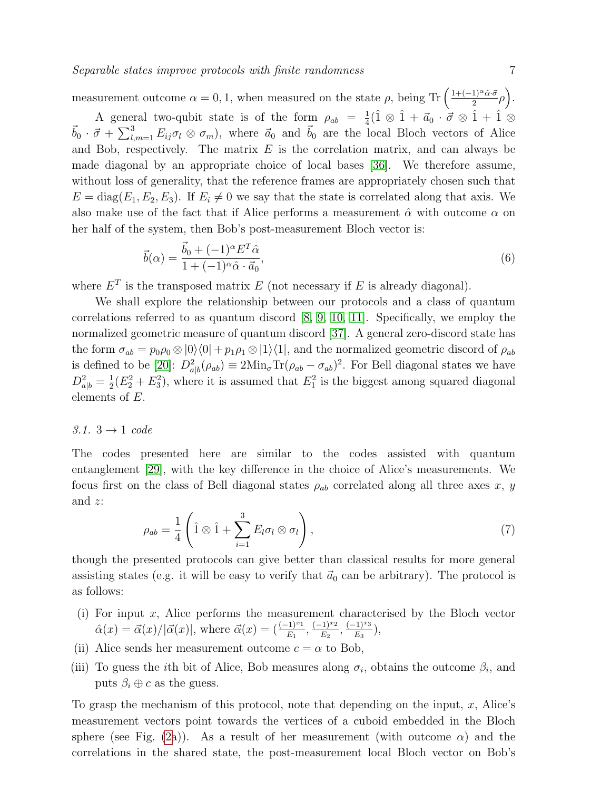measurement outcome  $\alpha = 0, 1$ , when measured on the state  $\rho$ , being Tr  $\left( \frac{1+(-1)^{\alpha}\hat{\alpha}\cdot\vec{\sigma}}{2} \right)$  $\frac{1)^{\alpha}\hat{\alpha}\cdot\vec{\sigma}}{2}\rho\bigg).$ A general two-qubit state is of the form  $\rho_{ab} = \frac{1}{4}$  $\frac{1}{4}(\hat{1} \otimes \hat{1} + \vec{a}_0 \cdot \vec{\sigma} \otimes \hat{1} + \hat{1} \otimes$  $\vec{b}_0 \cdot \vec{\sigma} + \sum_{l,m=1}^3 E_{ij} \sigma_l \otimes \sigma_m$ , where  $\vec{a}_0$  and  $\vec{b}_0$  are the local Bloch vectors of Alice and Bob, respectively. The matrix  $E$  is the correlation matrix, and can always be made diagonal by an appropriate choice of local bases [\[36\]](#page-11-17). We therefore assume, without loss of generality, that the reference frames are appropriately chosen such that  $E = diag(E_1, E_2, E_3)$ . If  $E_i \neq 0$  we say that the state is correlated along that axis. We also make use of the fact that if Alice performs a measurement  $\hat{\alpha}$  with outcome  $\alpha$  on her half of the system, then Bob's post-measurement Bloch vector is:

$$
\vec{b}(\alpha) = \frac{\vec{b}_0 + (-1)^{\alpha} E^T \hat{\alpha}}{1 + (-1)^{\alpha} \hat{\alpha} \cdot \vec{a}_0},\tag{6}
$$

where  $E^T$  is the transposed matrix E (not necessary if E is already diagonal).

We shall explore the relationship between our protocols and a class of quantum correlations referred to as quantum discord [\[8,](#page-10-7) [9,](#page-10-8) [10,](#page-10-9) [11\]](#page-10-10). Specifically, we employ the normalized geometric measure of quantum discord [\[37\]](#page-11-18). A general zero-discord state has the form  $\sigma_{ab} = p_0 \rho_0 \otimes |0\rangle\langle 0| + p_1 \rho_1 \otimes |1\rangle\langle 1|$ , and the normalized geometric discord of  $\rho_{ab}$ is defined to be [\[20\]](#page-11-1):  $D_{a|b}^2(\rho_{ab}) \equiv 2\text{Min}_{\sigma} \text{Tr}(\rho_{ab} - \sigma_{ab})^2$ . For Bell diagonal states we have  $D_{a|b}^2 = \frac{1}{2}$  $\frac{1}{2}(E_2^2 + E_3^2)$ , where it is assumed that  $E_1^2$  is the biggest among squared diagonal elements of E.

# 3.1.  $3 \rightarrow 1$  code

The codes presented here are similar to the codes assisted with quantum entanglement [\[29\]](#page-11-10), with the key difference in the choice of Alice's measurements. We focus first on the class of Bell diagonal states  $\rho_{ab}$  correlated along all three axes x, y and z:

$$
\rho_{ab} = \frac{1}{4} \left( \hat{1} \otimes \hat{1} + \sum_{i=1}^{3} E_l \sigma_l \otimes \sigma_l \right), \tag{7}
$$

though the presented protocols can give better than classical results for more general assisting states (e.g. it will be easy to verify that  $\vec{a}_0$  can be arbitrary). The protocol is as follows:

- (i) For input x, Alice performs the measurement characterised by the Bloch vector  $\hat{\alpha}(x) = \vec{\alpha}(x)/|\vec{\alpha}(x)|$ , where  $\vec{\alpha}(x) = \left(\frac{(-1)^{x_1}}{E_1}, \frac{(-1)^{x_2}}{E_2}\right)$  $\frac{(k-1)^{x_2}}{E_2}, \frac{(-1)^{x_3}}{E_3}$  $\frac{(-1)^{x_3}}{E_3},$
- (ii) Alice sends her measurement outcome  $c = \alpha$  to Bob,
- (iii) To guess the *i*th bit of Alice, Bob measures along  $\sigma_i$ , obtains the outcome  $\beta_i$ , and puts  $\beta_i \oplus c$  as the guess.

To grasp the mechanism of this protocol, note that depending on the input,  $x$ , Alice's measurement vectors point towards the vertices of a cuboid embedded in the Bloch sphere (see Fig. [\(2a](#page-7-0))). As a result of her measurement (with outcome  $\alpha$ ) and the correlations in the shared state, the post-measurement local Bloch vector on Bob's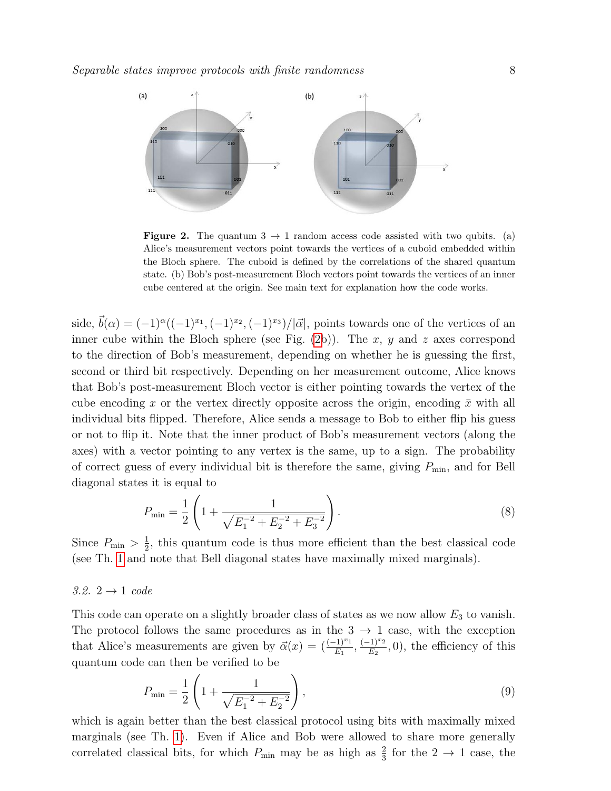

<span id="page-7-0"></span>**Figure 2.** The quantum  $3 \rightarrow 1$  random access code assisted with two qubits. (a) Alice's measurement vectors point towards the vertices of a cuboid embedded within the Bloch sphere. The cuboid is defined by the correlations of the shared quantum state. (b) Bob's post-measurement Bloch vectors point towards the vertices of an inner cube centered at the origin. See main text for explanation how the code works.

side,  $\vec{b}(\alpha) = (-1)^{\alpha}((-1)^{x_1}, (-1)^{x_2}, (-1)^{x_3})/|\vec{\alpha}|$ , points towards one of the vertices of an inner cube within the Bloch sphere (see Fig.  $(2b)$  $(2b)$ ). The x, y and z axes correspond to the direction of Bob's measurement, depending on whether he is guessing the first, second or third bit respectively. Depending on her measurement outcome, Alice knows that Bob's post-measurement Bloch vector is either pointing towards the vertex of the cube encoding x or the vertex directly opposite across the origin, encoding  $\bar{x}$  with all individual bits flipped. Therefore, Alice sends a message to Bob to either flip his guess or not to flip it. Note that the inner product of Bob's measurement vectors (along the axes) with a vector pointing to any vertex is the same, up to a sign. The probability of correct guess of every individual bit is therefore the same, giving  $P_{\text{min}}$ , and for Bell diagonal states it is equal to

<span id="page-7-1"></span>
$$
P_{\min} = \frac{1}{2} \left( 1 + \frac{1}{\sqrt{E_1^{-2} + E_2^{-2} + E_3^{-2}}} \right). \tag{8}
$$

Since  $P_{\min} > \frac{1}{2}$  $\frac{1}{2}$ , this quantum code is thus more efficient than the best classical code (see Th. [1](#page-3-0) and note that Bell diagonal states have maximally mixed marginals).

#### 3.2.  $2 \rightarrow 1$  code

This code can operate on a slightly broader class of states as we now allow  $E_3$  to vanish. The protocol follows the same procedures as in the  $3 \rightarrow 1$  case, with the exception that Alice's measurements are given by  $\vec{\alpha}(x) = \left(\frac{(-1)^{x_1}}{E_1}, \frac{(-1)^{x_2}}{E_2}\right)$  $(\frac{1}{E_2}, 0)$ , the efficiency of this quantum code can then be verified to be

<span id="page-7-2"></span>
$$
P_{\min} = \frac{1}{2} \left( 1 + \frac{1}{\sqrt{E_1^{-2} + E_2^{-2}}} \right),\tag{9}
$$

which is again better than the best classical protocol using bits with maximally mixed marginals (see Th. [1\)](#page-3-0). Even if Alice and Bob were allowed to share more generally correlated classical bits, for which  $P_{\text{min}}$  may be as high as  $\frac{2}{3}$  for the  $2 \rightarrow 1$  case, the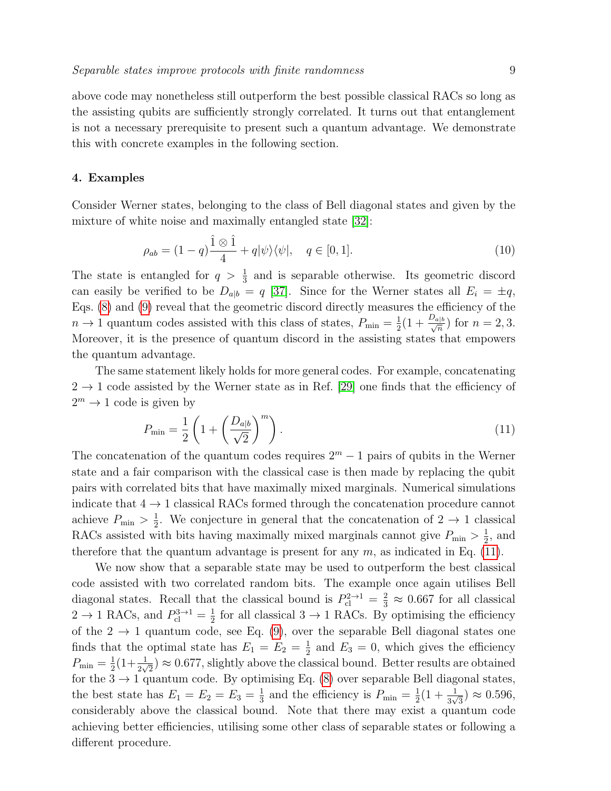above code may nonetheless still outperform the best possible classical RACs so long as the assisting qubits are sufficiently strongly correlated. It turns out that entanglement is not a necessary prerequisite to present such a quantum advantage. We demonstrate this with concrete examples in the following section.

## 4. Examples

Consider Werner states, belonging to the class of Bell diagonal states and given by the mixture of white noise and maximally entangled state [\[32\]](#page-11-13):

$$
\rho_{ab} = (1 - q)\frac{\hat{1} \otimes \hat{1}}{4} + q|\psi\rangle\langle\psi|, \quad q \in [0, 1].
$$
\n(10)

The state is entangled for  $q > \frac{1}{3}$  and is separable otherwise. Its geometric discord can easily be verified to be  $D_{a|b} = q$  [\[37\]](#page-11-18). Since for the Werner states all  $E_i = \pm q$ , Eqs. [\(8\)](#page-7-1) and [\(9\)](#page-7-2) reveal that the geometric discord directly measures the efficiency of the  $n \to 1$  quantum codes assisted with this class of states,  $P_{\min} = \frac{1}{2}$  $\frac{1}{2}(1+\frac{D_{a|b}}{\sqrt{n}})$  for  $n=2,3$ . Moreover, it is the presence of quantum discord in the assisting states that empowers the quantum advantage.

The same statement likely holds for more general codes. For example, concatenating  $2 \rightarrow 1$  code assisted by the Werner state as in Ref. [\[29\]](#page-11-10) one finds that the efficiency of  $2^m \to 1$  code is given by

<span id="page-8-0"></span>
$$
P_{\min} = \frac{1}{2} \left( 1 + \left( \frac{D_{a|b}}{\sqrt{2}} \right)^m \right). \tag{11}
$$

The concatenation of the quantum codes requires  $2^m - 1$  pairs of qubits in the Werner state and a fair comparison with the classical case is then made by replacing the qubit pairs with correlated bits that have maximally mixed marginals. Numerical simulations indicate that  $4 \rightarrow 1$  classical RACs formed through the concatenation procedure cannot achieve  $P_{\min} > \frac{1}{2}$  $\frac{1}{2}$ . We conjecture in general that the concatenation of  $2 \rightarrow 1$  classical RACs assisted with bits having maximally mixed marginals cannot give  $P_{\min} > \frac{1}{2}$  $\frac{1}{2}$ , and therefore that the quantum advantage is present for any  $m$ , as indicated in Eq. [\(11\)](#page-8-0).

We now show that a separable state may be used to outperform the best classical code assisted with two correlated random bits. The example once again utilises Bell diagonal states. Recall that the classical bound is  $P_{\text{cl}}^{2\to1} = \frac{2}{3} \approx 0.667$  for all classical  $2 \rightarrow 1$  RACs, and  $P_{\text{cl}}^{3 \rightarrow 1} = \frac{1}{2}$  $\frac{1}{2}$  for all classical 3  $\rightarrow$  1 RACs. By optimising the efficiency of the  $2 \rightarrow 1$  quantum code, see Eq. [\(9\)](#page-7-2), over the separable Bell diagonal states one finds that the optimal state has  $E_1 = E_2 = \frac{1}{2}$  $\frac{1}{2}$  and  $E_3 = 0$ , which gives the efficiency  $P_{\min}=\frac{1}{2}$  $\frac{1}{2}(1+\frac{1}{2\sqrt{2}}) \approx 0.677$ , slightly above the classical bound. Better results are obtained for the  $3 \rightarrow 1$  quantum code. By optimising Eq. [\(8\)](#page-7-1) over separable Bell diagonal states, the best state has  $E_1 = E_2 = E_3 = \frac{1}{3}$  $\frac{1}{3}$  and the efficiency is  $P_{\min} = \frac{1}{2}$  $\frac{1}{2}(1+\frac{1}{3\sqrt{3}})\approx 0.596,$ considerably above the classical bound. Note that there may exist a quantum code achieving better efficiencies, utilising some other class of separable states or following a different procedure.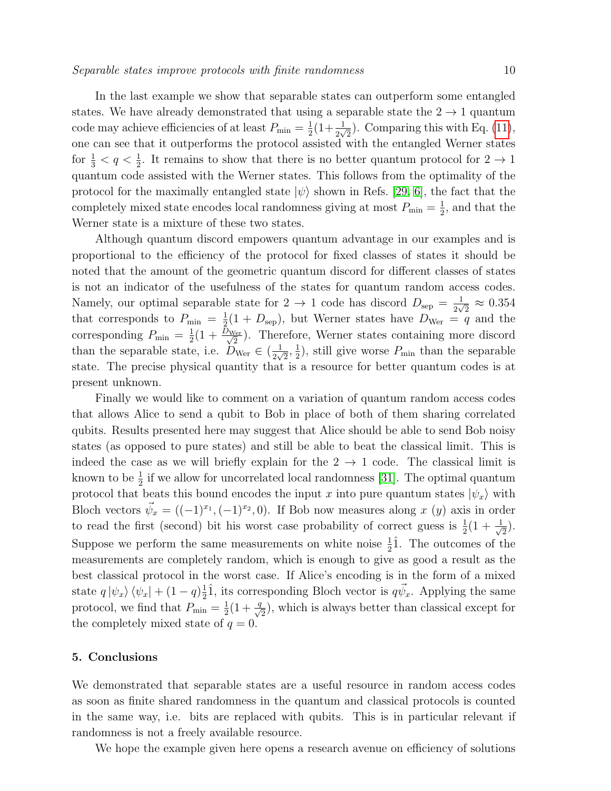In the last example we show that separable states can outperform some entangled states. We have already demonstrated that using a separable state the  $2 \rightarrow 1$  quantum code may achieve efficiencies of at least  $P_{\min} = \frac{1}{2}$  $\frac{1}{2}(1+\frac{1}{2\sqrt{2}})$ . Comparing this with Eq. [\(11\)](#page-8-0), one can see that it outperforms the protocol assisted with the entangled Werner states for  $\frac{1}{3} < q < \frac{1}{2}$ . It remains to show that there is no better quantum protocol for  $2 \to 1$ quantum code assisted with the Werner states. This follows from the optimality of the protocol for the maximally entangled state  $|\psi\rangle$  shown in Refs. [\[29,](#page-11-10) [6\]](#page-10-5), the fact that the completely mixed state encodes local randomness giving at most  $P_{\min} = \frac{1}{2}$  $\frac{1}{2}$ , and that the Werner state is a mixture of these two states.

Although quantum discord empowers quantum advantage in our examples and is proportional to the efficiency of the protocol for fixed classes of states it should be noted that the amount of the geometric quantum discord for different classes of states is not an indicator of the usefulness of the states for quantum random access codes. Namely, our optimal separable state for  $2 \rightarrow 1$  code has discord  $D_{\text{sep}} = \frac{1}{2\sqrt{3}}$  $\frac{1}{2\sqrt{2}} \approx 0.354$ that corresponds to  $P_{\min} = \frac{1}{2}$  $\frac{1}{2}(1+D_{\rm sep})$ , but Werner states have  $D_{\rm Wer} = q$  and the corresponding  $P_{\min} = \frac{1}{2}$  $\frac{1}{2}(1+\frac{D_{\text{Wer}}}{\sqrt{2}})$ . Therefore, Werner states containing more discord than the separable state, i.e.  $D_{\text{Wer}} \in (\frac{1}{2N})$  $\frac{1}{2\sqrt{2}}, \frac{1}{2}$  $\frac{1}{2}$ , still give worse  $P_{\min}$  than the separable state. The precise physical quantity that is a resource for better quantum codes is at present unknown.

Finally we would like to comment on a variation of quantum random access codes that allows Alice to send a qubit to Bob in place of both of them sharing correlated qubits. Results presented here may suggest that Alice should be able to send Bob noisy states (as opposed to pure states) and still be able to beat the classical limit. This is indeed the case as we will briefly explain for the  $2 \rightarrow 1$  code. The classical limit is known to be  $\frac{1}{2}$  if we allow for uncorrelated local randomness [\[31\]](#page-11-12). The optimal quantum protocol that beats this bound encodes the input x into pure quantum states  $|\psi_x\rangle$  with Bloch vectors  $\vec{\psi}_x = ((-1)^{x_1}, (-1)^{x_2}, 0)$ . If Bob now measures along x (y) axis in order to read the first (second) bit his worst case probability of correct guess is  $\frac{1}{2}(1+\frac{1}{\sqrt{2}})$  $\overline{2}$ ). Suppose we perform the same measurements on white noise  $\frac{1}{2}\hat{1}$ . The outcomes of the measurements are completely random, which is enough to give as good a result as the best classical protocol in the worst case. If Alice's encoding is in the form of a mixed state  $q \ket{\psi_x} \bra{\psi_x} + (1 - q) \frac{1}{2}$  $\frac{1}{2}\hat{1}$ , its corresponding Bloch vector is  $q\vec{\psi}_x$ . Applying the same protocol, we find that  $P_{\min} = \frac{1}{2}$  $\frac{1}{2}(1+\frac{q}{\sqrt{2}})$ , which is always better than classical except for the completely mixed state of  $q = 0$ .

# 5. Conclusions

We demonstrated that separable states are a useful resource in random access codes as soon as finite shared randomness in the quantum and classical protocols is counted in the same way, i.e. bits are replaced with qubits. This is in particular relevant if randomness is not a freely available resource.

We hope the example given here opens a research avenue on efficiency of solutions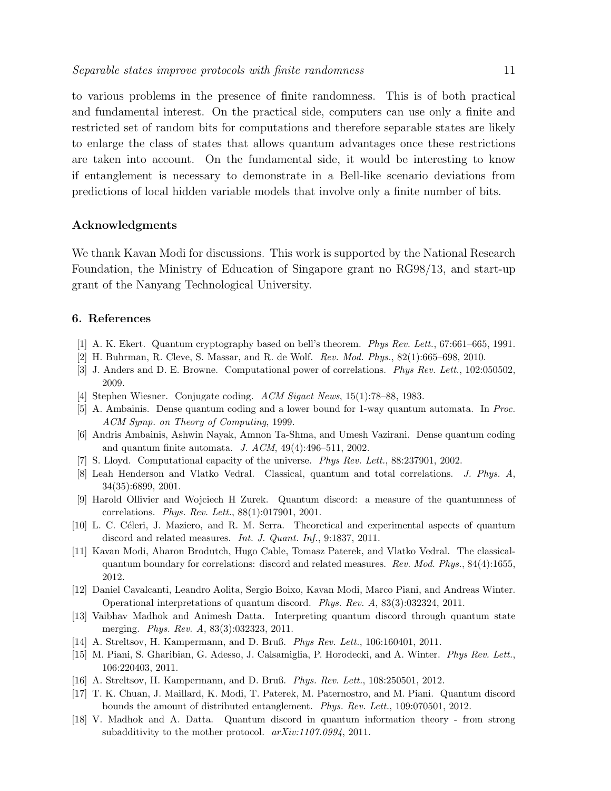to various problems in the presence of finite randomness. This is of both practical and fundamental interest. On the practical side, computers can use only a finite and restricted set of random bits for computations and therefore separable states are likely to enlarge the class of states that allows quantum advantages once these restrictions are taken into account. On the fundamental side, it would be interesting to know if entanglement is necessary to demonstrate in a Bell-like scenario deviations from predictions of local hidden variable models that involve only a finite number of bits.

# Acknowledgments

We thank Kavan Modi for discussions. This work is supported by the National Research Foundation, the Ministry of Education of Singapore grant no RG98/13, and start-up grant of the Nanyang Technological University.

# 6. References

- <span id="page-10-0"></span>[1] A. K. Ekert. Quantum cryptography based on bell's theorem. Phys Rev. Lett., 67:661–665, 1991.
- <span id="page-10-1"></span>[2] H. Buhrman, R. Cleve, S. Massar, and R. de Wolf. Rev. Mod. Phys., 82(1):665–698, 2010.
- <span id="page-10-2"></span>[3] J. Anders and D. E. Browne. Computational power of correlations. Phys Rev. Lett., 102:050502, 2009.
- <span id="page-10-3"></span>[4] Stephen Wiesner. Conjugate coding. ACM Sigact News, 15(1):78–88, 1983.
- <span id="page-10-4"></span>[5] A. Ambainis. Dense quantum coding and a lower bound for 1-way quantum automata. In Proc. ACM Symp. on Theory of Computing, 1999.
- <span id="page-10-5"></span>[6] Andris Ambainis, Ashwin Nayak, Amnon Ta-Shma, and Umesh Vazirani. Dense quantum coding and quantum finite automata. J.  $ACM$ ,  $49(4):496-511$ , 2002.
- <span id="page-10-6"></span>[7] S. Lloyd. Computational capacity of the universe. Phys Rev. Lett., 88:237901, 2002.
- <span id="page-10-7"></span>[8] Leah Henderson and Vlatko Vedral. Classical, quantum and total correlations. J. Phys. A, 34(35):6899, 2001.
- <span id="page-10-8"></span>[9] Harold Ollivier and Wojciech H Zurek. Quantum discord: a measure of the quantumness of correlations. Phys. Rev. Lett., 88(1):017901, 2001.
- <span id="page-10-9"></span>[10] L. C. Céleri, J. Maziero, and R. M. Serra. Theoretical and experimental aspects of quantum discord and related measures. *Int. J. Quant. Inf.*, 9:1837, 2011.
- <span id="page-10-10"></span>[11] Kavan Modi, Aharon Brodutch, Hugo Cable, Tomasz Paterek, and Vlatko Vedral. The classicalquantum boundary for correlations: discord and related measures. Rev. Mod. Phys., 84(4):1655, 2012.
- <span id="page-10-11"></span>[12] Daniel Cavalcanti, Leandro Aolita, Sergio Boixo, Kavan Modi, Marco Piani, and Andreas Winter. Operational interpretations of quantum discord. Phys. Rev. A, 83(3):032324, 2011.
- <span id="page-10-12"></span>[13] Vaibhav Madhok and Animesh Datta. Interpreting quantum discord through quantum state merging. *Phys. Rev. A*, 83(3):032323, 2011.
- <span id="page-10-13"></span>[14] A. Streltsov, H. Kampermann, and D. Bruß. Phys Rev. Lett., 106:160401, 2011.
- <span id="page-10-14"></span>[15] M. Piani, S. Gharibian, G. Adesso, J. Calsamiglia, P. Horodecki, and A. Winter. Phys Rev. Lett., 106:220403, 2011.
- <span id="page-10-15"></span>[16] A. Streltsov, H. Kampermann, and D. Bruß. Phys. Rev. Lett., 108:250501, 2012.
- <span id="page-10-16"></span>[17] T. K. Chuan, J. Maillard, K. Modi, T. Paterek, M. Paternostro, and M. Piani. Quantum discord bounds the amount of distributed entanglement. Phys. Rev. Lett., 109:070501, 2012.
- <span id="page-10-17"></span>[18] V. Madhok and A. Datta. Quantum discord in quantum information theory - from strong subadditivity to the mother protocol.  $arXiv:1107.0994$ , 2011.